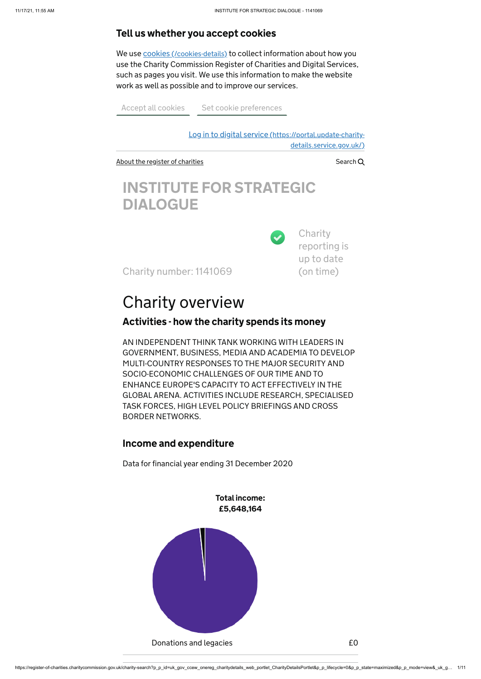https://register-of-charities.charitycommission.gov.uk/charity-search?p\_p\_id=uk\_gov\_ccew\_onereg\_charitydetails\_web\_portlet\_CharityDetailsPortlet&p\_p\_lifecycle=0&p\_p\_state=maximized&p\_p\_mode=view&\_uk\_g… 1/11

Log in to digital service [\(https://portal.update-charity](https://portal.update-charity-details.service.gov.uk/)details.service.gov.uk/)

Ø

[About the register of charities](https://register-of-charities.charitycommission.gov.uk/)  $\sim$  Search Q

**Charity** reporting is up to date (on time)

# INSTITUTE FOR STRATEGIC DIALOGUE

Charity number: 1141069

# Charity overview

#### Activities - how the charity spends its money

We use cookies [\(/cookies-details\)](https://register-of-charities.charitycommission.gov.uk/cookies-details) to collect information about how you use the Charity Commission Register of Charities and Digital Services, such as pages you visit. We use this information to make the website work as well as possible and to improve our services.

Accept all cookies [Set cookie preferences](https://register-of-charities.charitycommission.gov.uk/charity-search/-/cookie-consent/preferences)

AN INDEPENDENT THINK TANK WORKING WITH LEADERS IN GOVERNMENT, BUSINESS, MEDIA AND ACADEMIA TO DEVELOP MULTI-COUNTRY RESPONSES TO THE MAJOR SECURITY AND SOCIO-ECONOMIC CHALLENGES OF OUR TIME AND TO ENHANCE EUROPE'S CAPACITY TO ACT EFFECTIVELY IN THE GLOBAL ARENA. ACTIVITIES INCLUDE RESEARCH, SPECIALISED TASK FORCES, HIGH LEVEL POLICY BRIEFINGS AND CROSS BORDER NETWORKS.

#### Income and expenditure

Data for financial year ending 31 December 2020

Total income: £5,648,164



#### Tell us whether you accept cookies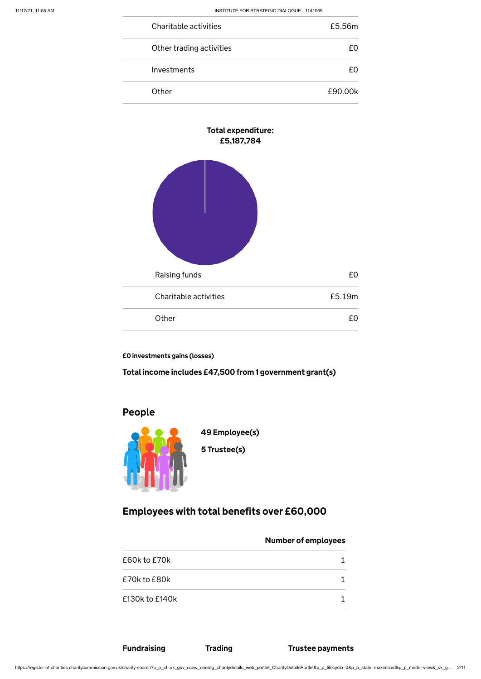https://register-of-charities.charitycommission.gov.uk/charity-search?p\_p\_id=uk\_gov\_ccew\_onereg\_charitydetails\_web\_portlet\_CharityDetailsPortlet&p\_p\_lifecycle=0&p\_p\_state=maximized&p\_p\_mode=view&\_uk\_g… 2/11

| Charitable activities    | £5.56m  |
|--------------------------|---------|
| Other trading activities | f O     |
| Investments              | £Ω      |
| Other                    | £90.00k |



£0 investments gains (losses)

Total income includes £47,500 from 1 government grant(s)

### People



Employees with total benefits over £60,000

#### Number of employees

| £60k to £70k       |  |
|--------------------|--|
| £70k to £80k       |  |
| $£130k$ to $£140k$ |  |

### Fundraising Trading Trustee payments

49 Employee(s)

5 Trustee(s)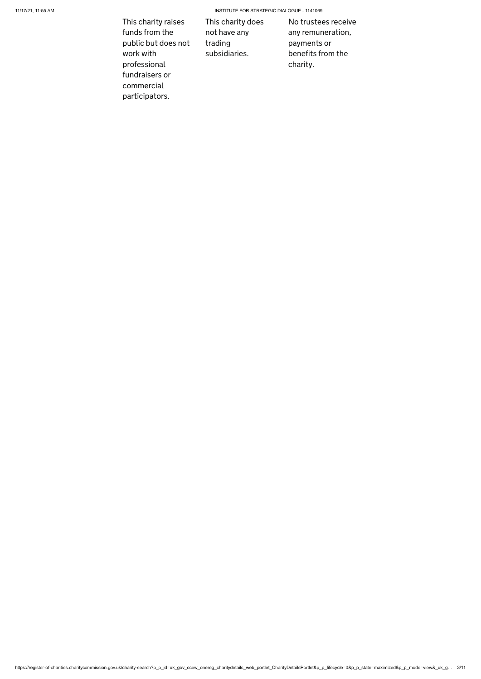11/17/21, 11:55 AM INSTITUTE FOR STRATEGIC DIALOGUE - 1141069

https://register-of-charities.charitycommission.gov.uk/charity-search?p\_p\_id=uk\_gov\_ccew\_onereg\_charitydetails\_web\_portlet\_CharityDetailsPortlet&p\_p\_lifecycle=0&p\_p\_state=maximized&p\_p\_mode=view&\_uk\_g… 3/11

This charity raises funds from the public but does not work with professional fundraisers or commercial participators.

This charity does not have any trading subsidiaries.

No trustees receive any remuneration, payments or benefits from the charity.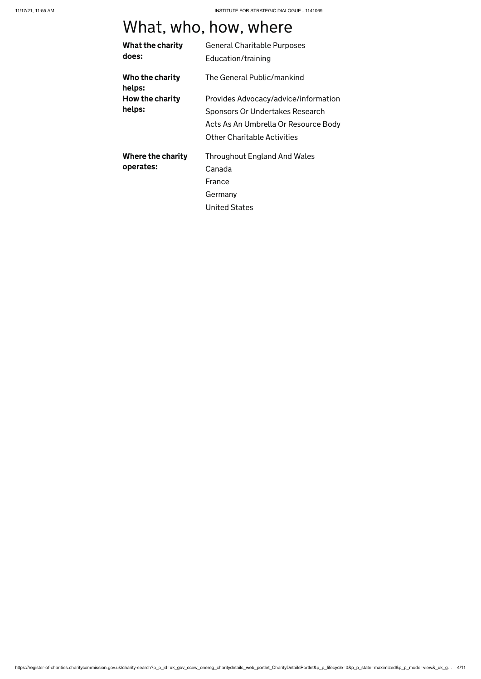https://register-of-charities.charitycommission.gov.uk/charity-search?p\_p\_id=uk\_gov\_ccew\_onereg\_charitydetails\_web\_portlet\_CharityDetailsPortlet&p\_p\_lifecycle=0&p\_p\_state=maximized&p\_p\_mode=view&\_uk\_g… 4/11

# What, who, how, where

| What the charity          | <b>General Charitable Purposes</b>   |
|---------------------------|--------------------------------------|
| does:                     | Education/training                   |
| Who the charity<br>helps: | The General Public/mankind           |
| How the charity           | Provides Advocacy/advice/information |
| helps:                    | Sponsors Or Undertakes Research      |
|                           | Acts As An Umbrella Or Resource Body |
|                           | <b>Other Charitable Activities</b>   |
| Where the charity         | <b>Throughout England And Wales</b>  |
| operates:                 | Canada                               |
|                           | France                               |
|                           | Germany                              |
|                           | <b>United States</b>                 |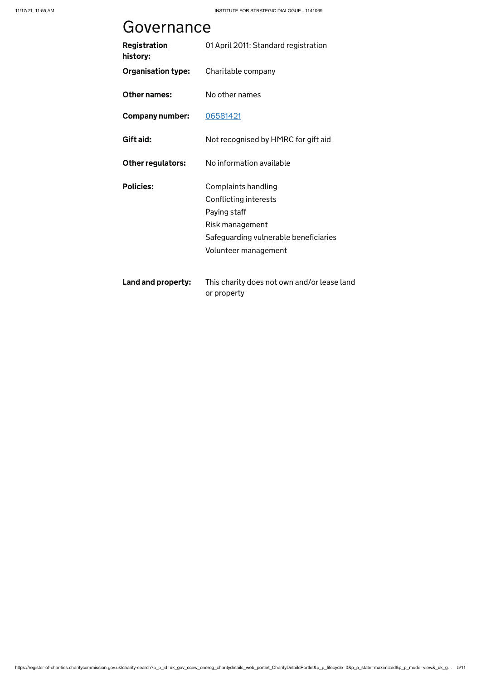https://register-of-charities.charitycommission.gov.uk/charity-search?p\_p\_id=uk\_gov\_ccew\_onereg\_charitydetails\_web\_portlet\_CharityDetailsPortlet&p\_p\_lifecycle=0&p\_p\_state=maximized&p\_p\_mode=view&\_uk\_g… 5/11

# Governance

| <b>Registration</b><br>history: | 01 April 2011: Standard registration                       |
|---------------------------------|------------------------------------------------------------|
| <b>Organisation type:</b>       | Charitable company                                         |
| <b>Other names:</b>             | No other names                                             |
| <b>Company number:</b>          | 06581421                                                   |
| Gift aid:                       | Not recognised by HMRC for gift aid                        |
| <b>Other regulators:</b>        | No information available                                   |
| <b>Policies:</b>                | <b>Complaints handling</b>                                 |
|                                 | Conflicting interests                                      |
|                                 | Paying staff                                               |
|                                 | Risk management                                            |
|                                 | Safeguarding vulnerable beneficiaries                      |
|                                 | Volunteer management                                       |
| Land and property:              | This charity does not own and/or lease land<br>or property |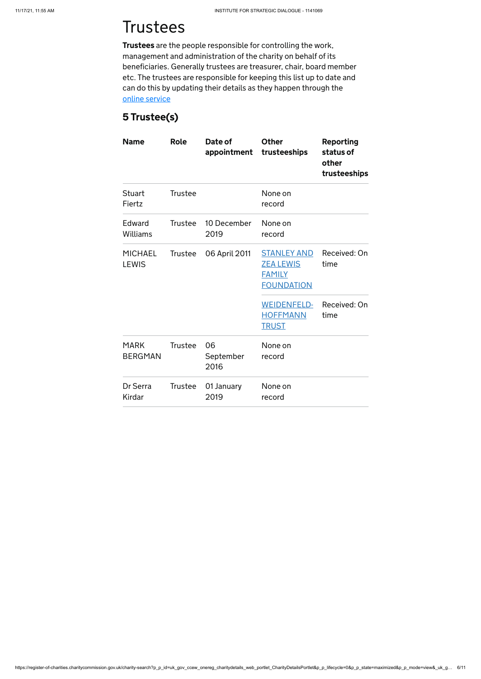# **Trustees**

https://register-of-charities.charitycommission.gov.uk/charity-search?p\_p\_id=uk\_gov\_ccew\_onereg\_charitydetails\_web\_portlet\_CharityDetailsPortlet&p\_p\_lifecycle=0&p\_p\_state=maximized&p\_p\_mode=view&\_uk\_g… 6/11

### 5 Trustee(s)

| <b>Name</b>                    | <b>Role</b>    | Date of<br>appointment  | <b>Other</b><br>trusteeships                                                 | <b>Reporting</b><br>status of<br>other<br>trusteeships |
|--------------------------------|----------------|-------------------------|------------------------------------------------------------------------------|--------------------------------------------------------|
| <b>Stuart</b><br>Fiertz        | <b>Trustee</b> |                         | None on<br>record                                                            |                                                        |
| Edward<br><b>Williams</b>      | <b>Trustee</b> | 10 December<br>2019     | None on<br>record                                                            |                                                        |
| <b>MICHAEL</b><br><b>LEWIS</b> | Trustee        | 06 April 2011           | <b>STANLEY AND</b><br><b>ZEA LEWIS</b><br><b>FAMILY</b><br><b>FOUNDATION</b> | Received: On<br>time                                   |
|                                |                |                         | <b>WEIDENFELD-</b><br><b>HOFFMANN</b><br><b>TRUST</b>                        | Received: On<br>time                                   |
| <b>MARK</b><br><b>BERGMAN</b>  | <b>Trustee</b> | 06<br>September<br>2016 | None on<br>record                                                            |                                                        |
| Dr Serra<br>Kirdar             | <b>Trustee</b> | 01 January<br>2019      | None on<br>record                                                            |                                                        |

Trustees are the people responsible for controlling the work, management and administration of the charity on behalf of its beneficiaries. Generally trustees are treasurer, chair, board member etc. The trustees are responsible for keeping this list up to date and can do this by updating their details as they happen through the [online service](https://www.gov.uk/guidance/online-services-for-charities)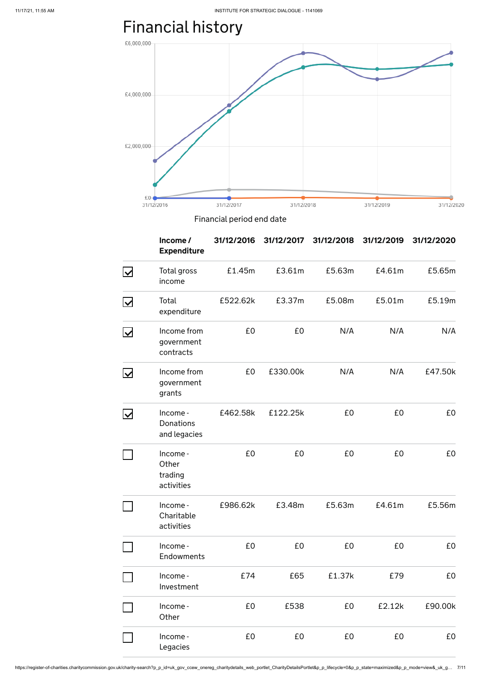https://register-of-charities.charitycommission.gov.uk/charity-search?p\_p\_id=uk\_gov\_ccew\_onereg\_charitydetails\_web\_portlet\_CharityDetailsPortlet&p\_p\_lifecycle=0&p\_p\_state=maximized&p\_p\_mode=view&\_uk\_g… 7/11

# Financial history



Financial period end date

|                                  | Income/<br><b>Expenditure</b>                | 31/12/2016 | 31/12/2017 | 31/12/2018 | 31/12/2019 | 31/12/2020 |
|----------------------------------|----------------------------------------------|------------|------------|------------|------------|------------|
| $\overline{\blacktriangleright}$ | Total gross<br>income                        | £1.45m     | £3.61m     | £5.63m     | £4.61m     | £5.65m     |
| <u>। ମ</u>                       | Total<br>expenditure                         | £522.62k   | £3.37m     | £5.08m     | £5.01m     | £5.19m     |
| $\overline{\mathbf{X}}$          | Income from<br>government<br>contracts       | £0         | £0         | N/A        | N/A        | N/A        |
| $\overline{\mathsf{M}}$          | Income from<br>government<br>grants          | £0         | £330.00k   | N/A        | N/A        | £47.50k    |
| M                                | Income -<br><b>Donations</b><br>and legacies | £462.58k   | £122.25k   | £0         | £0         | £0         |
|                                  | Income -<br>Other<br>trading<br>activities   | £0         | £0         | £0         | £0         | £0         |
|                                  | Income -                                     | £986.62k   | £3.48m     | £5.63m     | £4.61m     | £5.56m     |

| Charitable |  |
|------------|--|
| activities |  |

| Income -<br><b>Endowments</b> | £0  | £0   | £0     | £0     | £0      |
|-------------------------------|-----|------|--------|--------|---------|
| Income -<br>Investment        | £74 | £65  | £1.37k | £79    | £0      |
| Income -<br>Other             | £0  | £538 | £0     | E2.12k | £90.00k |
| Income -<br>Legacies          | £0  | £0   | £0     | £0     | £0      |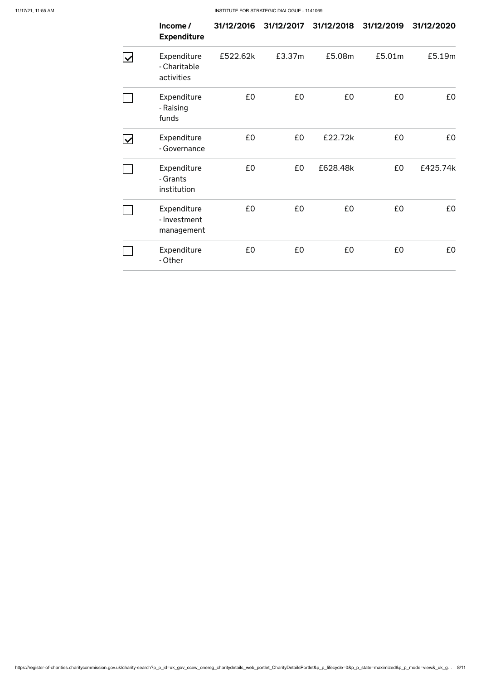#### 11/17/21, 11:55 AM INSTITUTE FOR STRATEGIC DIALOGUE - 1141069

https://register-of-charities.charitycommission.gov.uk/charity-search?p\_p\_id=uk\_gov\_ccew\_onereg\_charitydetails\_web\_portlet\_CharityDetailsPortlet&p\_p\_lifecycle=0&p\_p\_state=maximized&p\_p\_mode=view&\_uk\_g… 8/11

|                           | Income/<br><b>Expenditure</b>             | 31/12/2016 | 31/12/2017 | 31/12/2018 | 31/12/2019 | 31/12/2020 |
|---------------------------|-------------------------------------------|------------|------------|------------|------------|------------|
| $\boldsymbol{\mathsf{w}}$ | Expenditure<br>- Charitable<br>activities | £522.62k   | £3.37m     | £5.08m     | £5.01m     | £5.19m     |
|                           | Expenditure<br>- Raising<br>funds         | £0         | £0         | £0         | £0         | £0         |
| $\overline{\mathsf{v}}$   | Expenditure<br>- Governance               | £0         | £0         | £22.72k    | £0         | £0         |
|                           | Expenditure<br>- Grants<br>institution    | £0         | £0         | £628.48k   | £0         | £425.74k   |
|                           | Expenditure<br>- Investment<br>management | £0         | £0         | £0         | £0         | £0         |
|                           | Expenditure<br>- Other                    | £0         | £0         | £0         | £0         | £0         |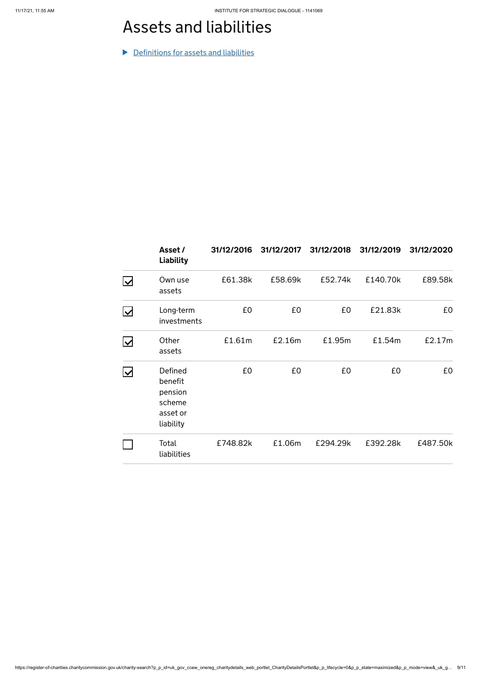https://register-of-charities.charitycommission.gov.uk/charity-search?p\_p\_id=uk\_gov\_ccew\_onereg\_charitydetails\_web\_portlet\_CharityDetailsPortlet&p\_p\_lifecycle=0&p\_p\_state=maximized&p\_p\_mode=view&\_uk\_g… 9/11

# Assets and liabilities

**Definitions for assets and liabilities** 

|                                       | Asset /<br><b>Liability</b>                                      | 31/12/2016 | 31/12/2017 | 31/12/2018 | 31/12/2019 | 31/12/2020 |
|---------------------------------------|------------------------------------------------------------------|------------|------------|------------|------------|------------|
| $\overline{\vee}$                     | Own use<br>assets                                                | £61.38k    | £58.69k    | £52.74k    | £140.70k   | £89.58k    |
| $\overline{\blacktriangledown}$       | Long-term<br>investments                                         | £0         | £0         | £0         | £21.83k    | £0         |
| $\boldsymbol{\mathsf{ \mathcal{v} }}$ | Other<br>assets                                                  | £1.61m     | £2.16m     | £1.95m     | £1.54m     | £2.17m     |
| $\boldsymbol{\mathsf{ \mathcal{v} }}$ | Defined<br>benefit<br>pension<br>scheme<br>asset or<br>liability | £0         | £0         | £0         | £0         | £0         |
|                                       | Total<br>liabilities                                             | £748.82k   | £1.06m     | £294.29k   | £392.28k   | £487.50k   |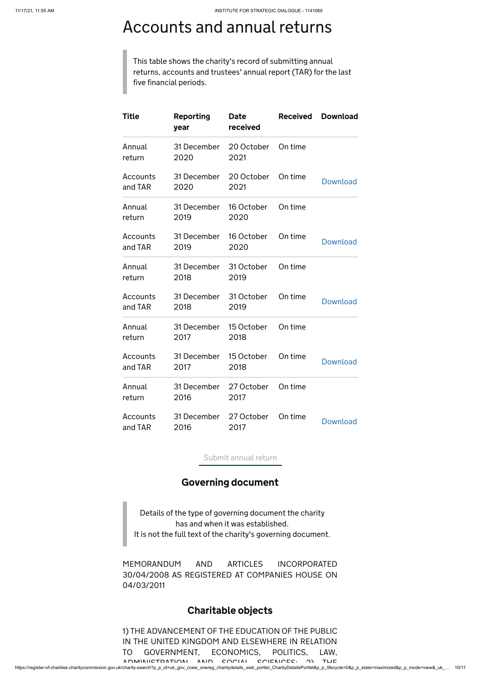https://register-of-charities.charitycommission.gov.uk/charity-search?p\_p\_id=uk\_gov\_ccew\_onereg\_charitydetails\_web\_portlet\_CharityDetailsPortlet&p\_p\_lifecycle=0&p\_p\_state=maximized&p\_p\_mode=view&\_uk\_… 10/11

# Accounts and annual returns

This table shows the charity's record of submitting annual returns, accounts and trustees' annual report (TAR) for the last five financial periods.

MEMORANDUM AND ARTICLES INCORPORATED 30/04/2008 AS REGISTERED AT COMPANIES HOUSE ON 04/03/2011

1) THE ADVANCEMENT OF THE EDUCATION OF THE PUBLIC IN THE UNITED KINGDOM AND ELSEWHERE IN RELATION TO GOVERNMENT, ECONOMICS, POLITICS, LAW, ADMINICTRATION ANID COOIAL COIFNICES, OF THE

| <b>Title</b>        | <b>Reporting</b><br>year       | <b>Date</b><br>received | <b>Received</b> | <b>Download</b> |
|---------------------|--------------------------------|-------------------------|-----------------|-----------------|
| Annual<br>return    | 31 December<br>2020            | 20 October<br>2021      | On time         |                 |
| Accounts<br>and TAR | 31 December<br>2020            | 20 October<br>2021      | On time         | <b>Download</b> |
| Annual<br>return    | 31 December<br>2019            | 16 October<br>2020      | On time         |                 |
| Accounts<br>and TAR | 31 December<br>2019            | 16 October<br>2020      | On time         | <b>Download</b> |
| Annual<br>return    | 31 December<br>2018            | 31 October<br>2019      | On time         |                 |
| Accounts<br>and TAR | 31 December<br>2018            | 31 October<br>2019      | On time         | <b>Download</b> |
| Annual<br>return    | 31 December<br>2017            | 15 October<br>2018      | On time         |                 |
| Accounts<br>and TAR | 31 December<br>2017 — 1        | 15 October<br>2018      | On time         | <b>Download</b> |
| Annual<br>return    | 31 December<br>2016            | 27 October<br>2017      | On time         |                 |
| Accounts<br>and TAR | 31 December 27 October<br>2016 | 2017                    | On time         | <b>Download</b> |

[Submit annual return](https://portal.update-charity-details.service.gov.uk/group/update-charity-details)

#### Governing document

Details of the type of governing document the charity has and when it was established. It is not the full text of the charity's governing document.

#### Charitable objects